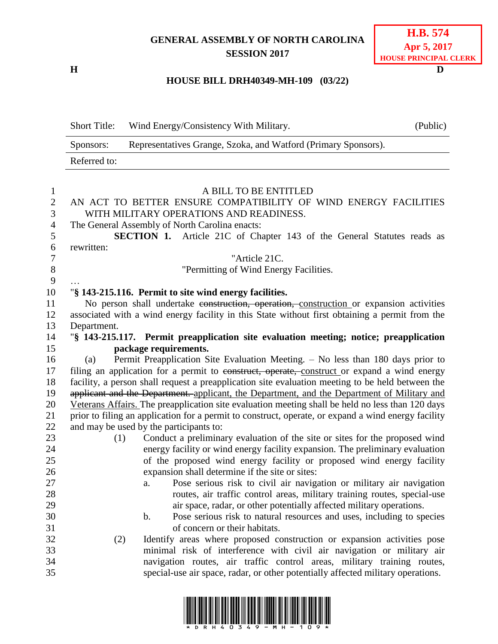## **GENERAL ASSEMBLY OF NORTH CAROLINA SESSION 2017**

**H D**

# **H.B. 574 Apr 5, 2017 HOUSE PRINCIPAL CLERK**

### **HOUSE BILL DRH40349-MH-109 (03/22)**

|                   | <b>Short Title:</b>                                                                              | Wind Energy/Consistency With Military.                                                                     | (Public) |  |  |
|-------------------|--------------------------------------------------------------------------------------------------|------------------------------------------------------------------------------------------------------------|----------|--|--|
|                   | Sponsors:                                                                                        | Representatives Grange, Szoka, and Watford (Primary Sponsors).                                             |          |  |  |
|                   | Referred to:                                                                                     |                                                                                                            |          |  |  |
|                   |                                                                                                  |                                                                                                            |          |  |  |
| 1                 |                                                                                                  | A BILL TO BE ENTITLED                                                                                      |          |  |  |
| $\mathbf{2}$<br>3 |                                                                                                  | AN ACT TO BETTER ENSURE COMPATIBILITY OF WIND ENERGY FACILITIES<br>WITH MILITARY OPERATIONS AND READINESS. |          |  |  |
| 4                 |                                                                                                  | The General Assembly of North Carolina enacts:                                                             |          |  |  |
| 5                 |                                                                                                  | <b>SECTION 1.</b> Article 21C of Chapter 143 of the General Statutes reads as                              |          |  |  |
| 6                 | rewritten:                                                                                       |                                                                                                            |          |  |  |
| 7                 |                                                                                                  | "Article 21C.                                                                                              |          |  |  |
| 8                 |                                                                                                  | "Permitting of Wind Energy Facilities.                                                                     |          |  |  |
| 9                 |                                                                                                  |                                                                                                            |          |  |  |
| 10                |                                                                                                  | "§ 143-215.116. Permit to site wind energy facilities.                                                     |          |  |  |
| 11                |                                                                                                  | No person shall undertake construction, operation, construction or expansion activities                    |          |  |  |
| 12                |                                                                                                  | associated with a wind energy facility in this State without first obtaining a permit from the             |          |  |  |
| 13                | Department.                                                                                      |                                                                                                            |          |  |  |
| 14                |                                                                                                  | "§ 143-215.117. Permit preapplication site evaluation meeting; notice; preapplication                      |          |  |  |
| 15                |                                                                                                  | package requirements.                                                                                      |          |  |  |
| 16                | (a)                                                                                              | Permit Preapplication Site Evaluation Meeting. - No less than 180 days prior to                            |          |  |  |
| 17                | filing an application for a permit to construct, operate, construct or expand a wind energy      |                                                                                                            |          |  |  |
| 18                | facility, a person shall request a preapplication site evaluation meeting to be held between the |                                                                                                            |          |  |  |
| 19                |                                                                                                  | applicant and the Department. applicant, the Department, and the Department of Military and                |          |  |  |
| 20                |                                                                                                  | Veterans Affairs. The preapplication site evaluation meeting shall be held no less than 120 days           |          |  |  |
| 21                |                                                                                                  | prior to filing an application for a permit to construct, operate, or expand a wind energy facility        |          |  |  |
| 22                |                                                                                                  | and may be used by the participants to:                                                                    |          |  |  |
| 23                | (1)                                                                                              | Conduct a preliminary evaluation of the site or sites for the proposed wind                                |          |  |  |
| 24                |                                                                                                  | energy facility or wind energy facility expansion. The preliminary evaluation                              |          |  |  |
| 25                |                                                                                                  | of the proposed wind energy facility or proposed wind energy facility                                      |          |  |  |
| 26                |                                                                                                  | expansion shall determine if the site or sites:                                                            |          |  |  |
| 27                |                                                                                                  | a. Pose serious risk to civil air navigation or military air navigation                                    |          |  |  |
| 28                |                                                                                                  | routes, air traffic control areas, military training routes, special-use                                   |          |  |  |
| 29                |                                                                                                  | air space, radar, or other potentially affected military operations.                                       |          |  |  |
| 30                |                                                                                                  | Pose serious risk to natural resources and uses, including to species<br>$\mathbf b$ .                     |          |  |  |
| 31                |                                                                                                  | of concern or their habitats.                                                                              |          |  |  |
| 32                | (2)                                                                                              | Identify areas where proposed construction or expansion activities pose                                    |          |  |  |
| 33                |                                                                                                  | minimal risk of interference with civil air navigation or military air                                     |          |  |  |
| 34                |                                                                                                  | navigation routes, air traffic control areas, military training routes,                                    |          |  |  |
| 35                |                                                                                                  | special-use air space, radar, or other potentially affected military operations.                           |          |  |  |

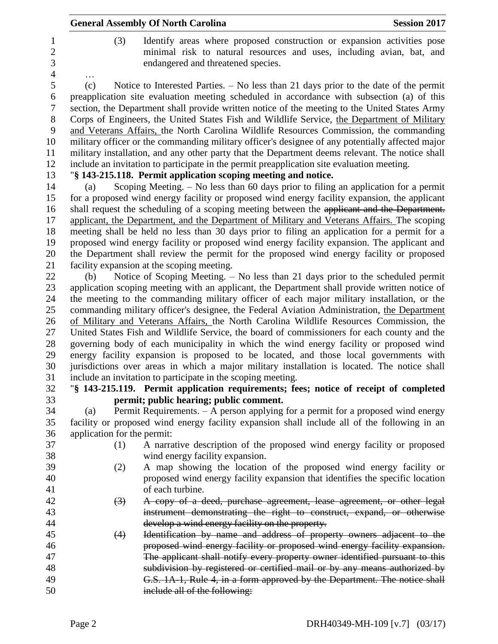|                             | <b>General Assembly Of North Carolina</b>                                                                                                                                                                                                                                                 | <b>Session 2017</b> |
|-----------------------------|-------------------------------------------------------------------------------------------------------------------------------------------------------------------------------------------------------------------------------------------------------------------------------------------|---------------------|
| (3)                         | Identify areas where proposed construction or expansion activities pose<br>minimal risk to natural resources and uses, including avian, bat, and<br>endangered and threatened species.                                                                                                    |                     |
| (c)                         | Notice to Interested Parties. $-$ No less than 21 days prior to the date of the permit                                                                                                                                                                                                    |                     |
|                             | preapplication site evaluation meeting scheduled in accordance with subsection (a) of this<br>section, the Department shall provide written notice of the meeting to the United States Army                                                                                               |                     |
|                             | Corps of Engineers, the United States Fish and Wildlife Service, the Department of Military<br>and Veterans Affairs, the North Carolina Wildlife Resources Commission, the commanding<br>military officer or the commanding military officer's designee of any potentially affected major |                     |
|                             | military installation, and any other party that the Department deems relevant. The notice shall<br>include an invitation to participate in the permit preapplication site evaluation meeting.                                                                                             |                     |
|                             | "§ 143-215.118. Permit application scoping meeting and notice.                                                                                                                                                                                                                            |                     |
| (a)                         | Scoping Meeting. $-$ No less than 60 days prior to filing an application for a permit                                                                                                                                                                                                     |                     |
|                             | for a proposed wind energy facility or proposed wind energy facility expansion, the applicant                                                                                                                                                                                             |                     |
|                             | shall request the scheduling of a scoping meeting between the applicant and the Department.                                                                                                                                                                                               |                     |
|                             | applicant, the Department, and the Department of Military and Veterans Affairs. The scoping                                                                                                                                                                                               |                     |
|                             | meeting shall be held no less than 30 days prior to filing an application for a permit for a                                                                                                                                                                                              |                     |
|                             | proposed wind energy facility or proposed wind energy facility expansion. The applicant and                                                                                                                                                                                               |                     |
|                             | the Department shall review the permit for the proposed wind energy facility or proposed                                                                                                                                                                                                  |                     |
|                             | facility expansion at the scoping meeting.                                                                                                                                                                                                                                                |                     |
| (b)                         | Notice of Scoping Meeting. – No less than 21 days prior to the scheduled permit                                                                                                                                                                                                           |                     |
|                             | application scoping meeting with an applicant, the Department shall provide written notice of                                                                                                                                                                                             |                     |
|                             | the meeting to the commanding military officer of each major military installation, or the<br>commanding military officer's designee, the Federal Aviation Administration, the Department                                                                                                 |                     |
|                             | of Military and Veterans Affairs, the North Carolina Wildlife Resources Commission, the                                                                                                                                                                                                   |                     |
|                             | United States Fish and Wildlife Service, the board of commissioners for each county and the                                                                                                                                                                                               |                     |
|                             | governing body of each municipality in which the wind energy facility or proposed wind                                                                                                                                                                                                    |                     |
|                             | energy facility expansion is proposed to be located, and those local governments with<br>jurisdictions over areas in which a major military installation is located. The notice shall                                                                                                     |                     |
|                             | include an invitation to participate in the scoping meeting.                                                                                                                                                                                                                              |                     |
|                             | "\\$ 143-215.119. Permit application requirements; fees; notice of receipt of completed                                                                                                                                                                                                   |                     |
|                             | permit; public hearing; public comment.                                                                                                                                                                                                                                                   |                     |
| (a)                         | Permit Requirements. - A person applying for a permit for a proposed wind energy                                                                                                                                                                                                          |                     |
|                             | facility or proposed wind energy facility expansion shall include all of the following in an                                                                                                                                                                                              |                     |
| application for the permit: |                                                                                                                                                                                                                                                                                           |                     |
| (1)                         | A narrative description of the proposed wind energy facility or proposed                                                                                                                                                                                                                  |                     |
|                             | wind energy facility expansion.                                                                                                                                                                                                                                                           |                     |
| (2)                         | A map showing the location of the proposed wind energy facility or                                                                                                                                                                                                                        |                     |
|                             | proposed wind energy facility expansion that identifies the specific location                                                                                                                                                                                                             |                     |
|                             | of each turbine.                                                                                                                                                                                                                                                                          |                     |
| $\left(3\right)$            | A copy of a deed, purchase agreement, lease agreement, or other legal                                                                                                                                                                                                                     |                     |
|                             | instrument demonstrating the right to construct, expand, or otherwise                                                                                                                                                                                                                     |                     |
| (4)                         | develop a wind energy facility on the property.<br>Identification by name and address of property owners adjacent to the                                                                                                                                                                  |                     |
|                             | proposed wind energy facility or proposed wind energy facility expansion.                                                                                                                                                                                                                 |                     |
|                             | The applicant shall notify every property owner identified pursuant to this                                                                                                                                                                                                               |                     |
|                             |                                                                                                                                                                                                                                                                                           |                     |
|                             |                                                                                                                                                                                                                                                                                           |                     |
|                             | subdivision by registered or certified mail or by any means authorized by<br>G.S. 1A-1, Rule 4, in a form approved by the Department. The notice shall                                                                                                                                    |                     |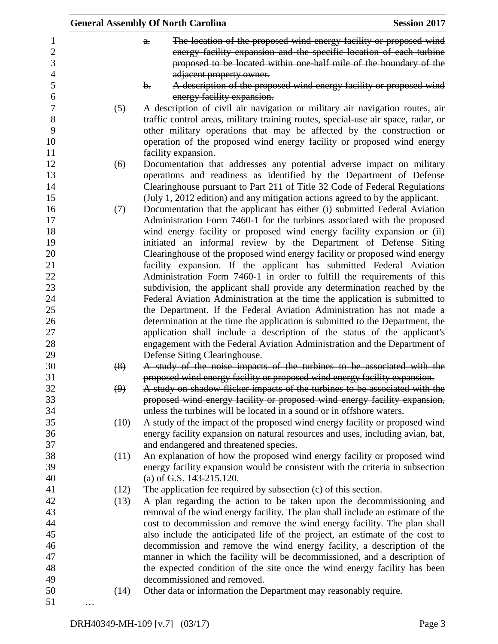|                                              | <b>General Assembly Of North Carolina</b><br><b>Session 2017</b> |                                                                                                                                                                                                                                                                                                                                                                                                                             |  |  |
|----------------------------------------------|------------------------------------------------------------------|-----------------------------------------------------------------------------------------------------------------------------------------------------------------------------------------------------------------------------------------------------------------------------------------------------------------------------------------------------------------------------------------------------------------------------|--|--|
| 1<br>$\boldsymbol{2}$<br>3<br>$\overline{4}$ |                                                                  | The location of the proposed wind energy facility or proposed wind<br>$a$ .<br>energy facility expansion and the specific location of each turbine<br>proposed to be located within one-half mile of the boundary of the<br>adjacent property owner.                                                                                                                                                                        |  |  |
| 5<br>6                                       |                                                                  | A description of the proposed wind energy facility or proposed wind<br>b.<br>energy facility expansion.                                                                                                                                                                                                                                                                                                                     |  |  |
| $\boldsymbol{7}$<br>$8\,$<br>9<br>10<br>11   | (5)                                                              | A description of civil air navigation or military air navigation routes, air<br>traffic control areas, military training routes, special-use air space, radar, or<br>other military operations that may be affected by the construction or<br>operation of the proposed wind energy facility or proposed wind energy<br>facility expansion.                                                                                 |  |  |
| 12<br>13<br>14<br>15                         | (6)                                                              | Documentation that addresses any potential adverse impact on military<br>operations and readiness as identified by the Department of Defense<br>Clearinghouse pursuant to Part 211 of Title 32 Code of Federal Regulations<br>(July 1, 2012 edition) and any mitigation actions agreed to by the applicant.                                                                                                                 |  |  |
| 16<br>17<br>18<br>19<br>20                   | (7)                                                              | Documentation that the applicant has either (i) submitted Federal Aviation<br>Administration Form 7460-1 for the turbines associated with the proposed<br>wind energy facility or proposed wind energy facility expansion or (ii)<br>initiated an informal review by the Department of Defense Siting<br>Clearinghouse of the proposed wind energy facility or proposed wind energy                                         |  |  |
| 21<br>22<br>23<br>24<br>25                   |                                                                  | facility expansion. If the applicant has submitted Federal Aviation<br>Administration Form 7460-1 in order to fulfill the requirements of this<br>subdivision, the applicant shall provide any determination reached by the<br>Federal Aviation Administration at the time the application is submitted to<br>the Department. If the Federal Aviation Administration has not made a                                         |  |  |
| 26<br>27<br>28<br>29                         |                                                                  | determination at the time the application is submitted to the Department, the<br>application shall include a description of the status of the applicant's<br>engagement with the Federal Aviation Administration and the Department of<br>Defense Siting Clearinghouse.                                                                                                                                                     |  |  |
| 30<br>31                                     | (8)                                                              | A study of the noise impacts of the turbines to be associated with the<br>proposed wind energy facility or proposed wind energy facility expansion.                                                                                                                                                                                                                                                                         |  |  |
| 32<br>33<br>34                               | (9)                                                              | A study on shadow flicker impacts of the turbines to be associated with the<br>proposed wind energy facility or proposed wind energy facility expansion,<br>unless the turbines will be located in a sound or in offshore waters.                                                                                                                                                                                           |  |  |
| 35<br>36<br>37                               | (10)                                                             | A study of the impact of the proposed wind energy facility or proposed wind<br>energy facility expansion on natural resources and uses, including avian, bat,<br>and endangered and threatened species.                                                                                                                                                                                                                     |  |  |
| 38<br>39<br>40                               | (11)                                                             | An explanation of how the proposed wind energy facility or proposed wind<br>energy facility expansion would be consistent with the criteria in subsection<br>(a) of G.S. $143-215.120$ .                                                                                                                                                                                                                                    |  |  |
| 41<br>42<br>43                               | (12)<br>(13)                                                     | The application fee required by subsection (c) of this section.<br>A plan regarding the action to be taken upon the decommissioning and<br>removal of the wind energy facility. The plan shall include an estimate of the                                                                                                                                                                                                   |  |  |
| 44<br>45<br>46<br>47<br>48<br>49             |                                                                  | cost to decommission and remove the wind energy facility. The plan shall<br>also include the anticipated life of the project, an estimate of the cost to<br>decommission and remove the wind energy facility, a description of the<br>manner in which the facility will be decommissioned, and a description of<br>the expected condition of the site once the wind energy facility has been<br>decommissioned and removed. |  |  |
| 50<br>51                                     | (14)                                                             | Other data or information the Department may reasonably require.                                                                                                                                                                                                                                                                                                                                                            |  |  |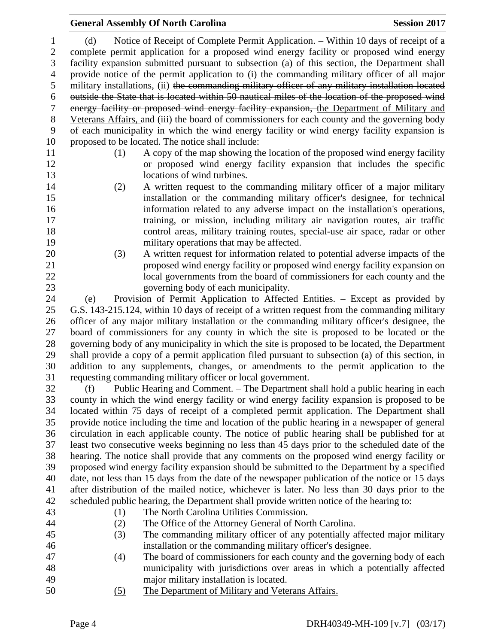#### **General Assembly Of North Carolina Session 2017**

 (d) Notice of Receipt of Complete Permit Application. – Within 10 days of receipt of a complete permit application for a proposed wind energy facility or proposed wind energy facility expansion submitted pursuant to subsection (a) of this section, the Department shall provide notice of the permit application to (i) the commanding military officer of all major military installations, (ii) the commanding military officer of any military installation located outside the State that is located within 50 nautical miles of the location of the proposed wind energy facility or proposed wind energy facility expansion, the Department of Military and Veterans Affairs, and (iii) the board of commissioners for each county and the governing body of each municipality in which the wind energy facility or wind energy facility expansion is proposed to be located. The notice shall include:

- 
- (1) A copy of the map showing the location of the proposed wind energy facility or proposed wind energy facility expansion that includes the specific 13 locations of wind turbines.
- (2) A written request to the commanding military officer of a major military installation or the commanding military officer's designee, for technical information related to any adverse impact on the installation's operations, training, or mission, including military air navigation routes, air traffic control areas, military training routes, special-use air space, radar or other military operations that may be affected.
- (3) A written request for information related to potential adverse impacts of the proposed wind energy facility or proposed wind energy facility expansion on local governments from the board of commissioners for each county and the governing body of each municipality.
- (e) Provision of Permit Application to Affected Entities. Except as provided by G.S. 143-215.124, within 10 days of receipt of a written request from the commanding military officer of any major military installation or the commanding military officer's designee, the board of commissioners for any county in which the site is proposed to be located or the governing body of any municipality in which the site is proposed to be located, the Department shall provide a copy of a permit application filed pursuant to subsection (a) of this section, in addition to any supplements, changes, or amendments to the permit application to the requesting commanding military officer or local government.
- (f) Public Hearing and Comment. The Department shall hold a public hearing in each county in which the wind energy facility or wind energy facility expansion is proposed to be located within 75 days of receipt of a completed permit application. The Department shall provide notice including the time and location of the public hearing in a newspaper of general circulation in each applicable county. The notice of public hearing shall be published for at least two consecutive weeks beginning no less than 45 days prior to the scheduled date of the hearing. The notice shall provide that any comments on the proposed wind energy facility or proposed wind energy facility expansion should be submitted to the Department by a specified date, not less than 15 days from the date of the newspaper publication of the notice or 15 days after distribution of the mailed notice, whichever is later. No less than 30 days prior to the scheduled public hearing, the Department shall provide written notice of the hearing to:
- 
- (1) The North Carolina Utilities Commission.
- 
- 
- (2) The Office of the Attorney General of North Carolina.
- (3) The commanding military officer of any potentially affected major military installation or the commanding military officer's designee.
- (4) The board of commissioners for each county and the governing body of each municipality with jurisdictions over areas in which a potentially affected major military installation is located.
- (5) The Department of Military and Veterans Affairs.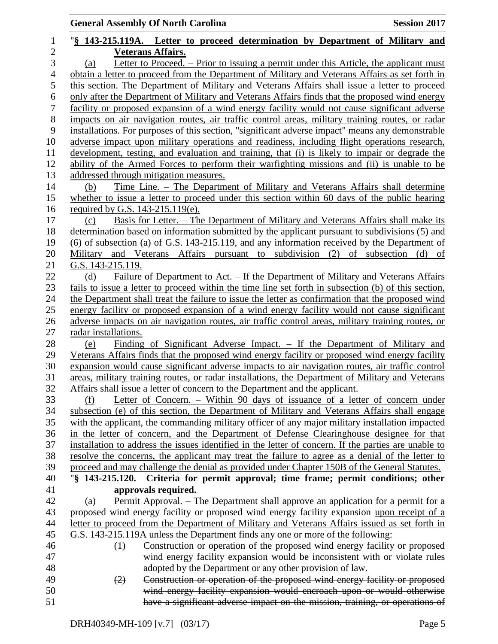|                  | <b>Session 2017</b><br><b>General Assembly Of North Carolina</b>                                                                                                                                 |
|------------------|--------------------------------------------------------------------------------------------------------------------------------------------------------------------------------------------------|
| $\mathbf{1}$     | "§ 143-215.119A. Letter to proceed determination by Department of Military and                                                                                                                   |
| $\mathbf{2}$     | <b>Veterans Affairs.</b>                                                                                                                                                                         |
| 3                | Letter to Proceed. – Prior to issuing a permit under this Article, the applicant must<br>(a)                                                                                                     |
| 4                | obtain a letter to proceed from the Department of Military and Veterans Affairs as set forth in                                                                                                  |
| 5                | this section. The Department of Military and Veterans Affairs shall issue a letter to proceed                                                                                                    |
| 6                | only after the Department of Military and Veterans Affairs finds that the proposed wind energy                                                                                                   |
| $\boldsymbol{7}$ | facility or proposed expansion of a wind energy facility would not cause significant adverse                                                                                                     |
| $8\,$            | impacts on air navigation routes, air traffic control areas, military training routes, or radar                                                                                                  |
| 9<br>10          | installations. For purposes of this section, "significant adverse impact" means any demonstrable                                                                                                 |
|                  | adverse impact upon military operations and readiness, including flight operations research,                                                                                                     |
| 12               | development, testing, and evaluation and training, that (i) is likely to impair or degrade the                                                                                                   |
|                  | ability of the Armed Forces to perform their warfighting missions and (ii) is unable to be                                                                                                       |
|                  | addressed through mitigation measures.                                                                                                                                                           |
|                  | Time Line. - The Department of Military and Veterans Affairs shall determine<br>(b)                                                                                                              |
|                  | whether to issue a letter to proceed under this section within 60 days of the public hearing                                                                                                     |
|                  | required by G.S. 143-215.119(e).                                                                                                                                                                 |
|                  | <u>Basis for Letter. – The Department of Military and Veterans Affairs shall make its</u><br>(c)                                                                                                 |
|                  | determination based on information submitted by the applicant pursuant to subdivisions (5) and                                                                                                   |
|                  | $(6)$ of subsection (a) of G.S. 143-215.119, and any information received by the Department of                                                                                                   |
|                  | Military<br>and Veterans Affairs pursuant to subdivision (2) of subsection<br>(d)<br>of                                                                                                          |
|                  | G.S. 143-215.119.                                                                                                                                                                                |
|                  | Failure of Department to Act. – If the Department of Military and Veterans Affairs<br>(d)                                                                                                        |
|                  | fails to issue a letter to proceed within the time line set forth in subsection (b) of this section,                                                                                             |
|                  | the Department shall treat the failure to issue the letter as confirmation that the proposed wind<br>energy facility or proposed expansion of a wind energy facility would not cause significant |
|                  | adverse impacts on air navigation routes, air traffic control areas, military training routes, or                                                                                                |
|                  | radar installations.                                                                                                                                                                             |
|                  | Finding of Significant Adverse Impact. – If the Department of Military and<br>(e)                                                                                                                |
|                  | Veterans Affairs finds that the proposed wind energy facility or proposed wind energy facility                                                                                                   |
|                  | expansion would cause significant adverse impacts to air navigation routes, air traffic control                                                                                                  |
|                  | areas, military training routes, or radar installations, the Department of Military and Veterans                                                                                                 |
|                  | Affairs shall issue a letter of concern to the Department and the applicant.                                                                                                                     |
|                  | Letter of Concern. – Within 90 days of issuance of a letter of concern under<br>(†)                                                                                                              |
|                  | subsection (e) of this section, the Department of Military and Veterans Affairs shall engage                                                                                                     |
|                  | with the applicant, the commanding military officer of any major military installation impacted                                                                                                  |
|                  | in the letter of concern, and the Department of Defense Clearinghouse designee for that                                                                                                          |
|                  | installation to address the issues identified in the letter of concern. If the parties are unable to                                                                                             |
|                  | resolve the concerns, the applicant may treat the failure to agree as a denial of the letter to                                                                                                  |
|                  | proceed and may challenge the denial as provided under Chapter 150B of the General Statutes.                                                                                                     |
|                  | "§ 143-215.120. Criteria for permit approval; time frame; permit conditions; other                                                                                                               |
|                  | approvals required.                                                                                                                                                                              |
|                  | Permit Approval. – The Department shall approve an application for a permit for a<br>(a)                                                                                                         |
|                  | proposed wind energy facility or proposed wind energy facility expansion upon receipt of a                                                                                                       |
|                  | letter to proceed from the Department of Military and Veterans Affairs issued as set forth in                                                                                                    |
|                  | G.S. 143-215.119A unless the Department finds any one or more of the following:                                                                                                                  |
|                  | Construction or operation of the proposed wind energy facility or proposed<br>(1)                                                                                                                |
|                  | wind energy facility expansion would be inconsistent with or violate rules                                                                                                                       |
|                  | adopted by the Department or any other provision of law.                                                                                                                                         |
|                  | Construction or operation of the proposed wind energy facility or proposed<br>(2)<br>wind energy facility expansion would encroach upon or would otherwise                                       |
|                  | have a significant adverse impact on the mission, training, or operations of                                                                                                                     |
|                  |                                                                                                                                                                                                  |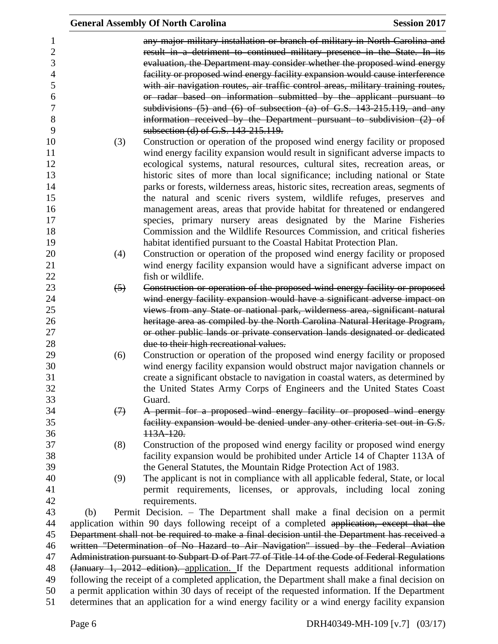|                   | <b>Session 2017</b><br><b>General Assembly Of North Carolina</b>                                                                                                                                  |
|-------------------|---------------------------------------------------------------------------------------------------------------------------------------------------------------------------------------------------|
|                   | any major military installation or branch of military in North Carolina and                                                                                                                       |
|                   | result in a detriment to continued military presence in the State. In its                                                                                                                         |
|                   | evaluation, the Department may consider whether the proposed wind energy                                                                                                                          |
|                   | facility or proposed wind energy facility expansion would cause interference                                                                                                                      |
|                   | with air navigation routes, air traffic control areas, military training routes,                                                                                                                  |
|                   |                                                                                                                                                                                                   |
|                   | or radar based on information submitted by the applicant pursuant to                                                                                                                              |
|                   | subdivisions (5) and (6) of subsection (a) of G.S. 143-215.119, and any                                                                                                                           |
|                   | information received by the Department pursuant to subdivision $(2)$ of<br>subsection (d) of G.S. 143-215.119.                                                                                    |
| (3)               | Construction or operation of the proposed wind energy facility or proposed                                                                                                                        |
|                   | wind energy facility expansion would result in significant adverse impacts to                                                                                                                     |
|                   | ecological systems, natural resources, cultural sites, recreation areas, or                                                                                                                       |
|                   | historic sites of more than local significance; including national or State                                                                                                                       |
|                   | parks or forests, wilderness areas, historic sites, recreation areas, segments of                                                                                                                 |
|                   | the natural and scenic rivers system, wildlife refuges, preserves and                                                                                                                             |
|                   | management areas, areas that provide habitat for threatened or endangered                                                                                                                         |
|                   | species, primary nursery areas designated by the Marine Fisheries                                                                                                                                 |
|                   | Commission and the Wildlife Resources Commission, and critical fisheries                                                                                                                          |
|                   | habitat identified pursuant to the Coastal Habitat Protection Plan.                                                                                                                               |
| (4)               | Construction or operation of the proposed wind energy facility or proposed                                                                                                                        |
|                   | wind energy facility expansion would have a significant adverse impact on                                                                                                                         |
|                   | fish or wildlife.                                                                                                                                                                                 |
| $\left(5\right)$  | Construction or operation of the proposed wind energy facility or proposed                                                                                                                        |
|                   | wind energy facility expansion would have a significant adverse impact on                                                                                                                         |
|                   | views from any State or national park, wilderness area, significant natural                                                                                                                       |
|                   | heritage area as compiled by the North Carolina Natural Heritage Program,                                                                                                                         |
|                   | or other public lands or private conservation lands designated or dedicated                                                                                                                       |
|                   | due to their high recreational values.                                                                                                                                                            |
| (6)               | Construction or operation of the proposed wind energy facility or proposed                                                                                                                        |
|                   | wind energy facility expansion would obstruct major navigation channels or                                                                                                                        |
|                   | create a significant obstacle to navigation in coastal waters, as determined by                                                                                                                   |
|                   | the United States Army Corps of Engineers and the United States Coast                                                                                                                             |
|                   | Guard.                                                                                                                                                                                            |
| $\leftrightarrow$ | A permit for a proposed wind energy facility or proposed wind energy                                                                                                                              |
|                   | facility expansion would be denied under any other criteria set out in G.S.                                                                                                                       |
|                   | 113A-120.                                                                                                                                                                                         |
| (8)               | Construction of the proposed wind energy facility or proposed wind energy                                                                                                                         |
|                   | facility expansion would be prohibited under Article 14 of Chapter 113A of                                                                                                                        |
|                   | the General Statutes, the Mountain Ridge Protection Act of 1983.                                                                                                                                  |
| (9)               | The applicant is not in compliance with all applicable federal, State, or local                                                                                                                   |
|                   | permit requirements, licenses, or approvals, including local zoning                                                                                                                               |
|                   | requirements.                                                                                                                                                                                     |
| (b)               | Permit Decision. – The Department shall make a final decision on a permit                                                                                                                         |
|                   | application within 90 days following receipt of a completed application, except that the                                                                                                          |
|                   | Department shall not be required to make a final decision until the Department has received a                                                                                                     |
|                   | written "Determination of No Hazard to Air Navigation" issued by the Federal Aviation                                                                                                             |
|                   | Administration pursuant to Subpart D of Part 77 of Title 14 of the Code of Federal Regulations                                                                                                    |
|                   | (January 1, 2012 edition). application. If the Department requests additional information                                                                                                         |
|                   | following the receipt of a completed application, the Department shall make a final decision on<br>a permit application within 30 days of receipt of the requested information. If the Department |
|                   | determines that an application for a wind energy facility or a wind energy facility expansion                                                                                                     |
|                   |                                                                                                                                                                                                   |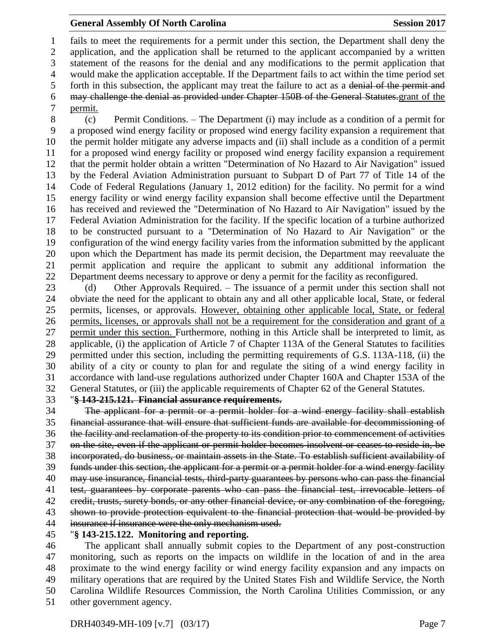#### **General Assembly Of North Carolina Session 2017**

 fails to meet the requirements for a permit under this section, the Department shall deny the application, and the application shall be returned to the applicant accompanied by a written statement of the reasons for the denial and any modifications to the permit application that would make the application acceptable. If the Department fails to act within the time period set forth in this subsection, the applicant may treat the failure to act as a denial of the permit and may challenge the denial as provided under Chapter 150B of the General Statutes.grant of the permit.

 (c) Permit Conditions. – The Department (i) may include as a condition of a permit for a proposed wind energy facility or proposed wind energy facility expansion a requirement that the permit holder mitigate any adverse impacts and (ii) shall include as a condition of a permit for a proposed wind energy facility or proposed wind energy facility expansion a requirement that the permit holder obtain a written "Determination of No Hazard to Air Navigation" issued by the Federal Aviation Administration pursuant to Subpart D of Part 77 of Title 14 of the Code of Federal Regulations (January 1, 2012 edition) for the facility. No permit for a wind energy facility or wind energy facility expansion shall become effective until the Department has received and reviewed the "Determination of No Hazard to Air Navigation" issued by the Federal Aviation Administration for the facility. If the specific location of a turbine authorized to be constructed pursuant to a "Determination of No Hazard to Air Navigation" or the configuration of the wind energy facility varies from the information submitted by the applicant upon which the Department has made its permit decision, the Department may reevaluate the permit application and require the applicant to submit any additional information the Department deems necessary to approve or deny a permit for the facility as reconfigured.

23 (d) Other Approvals Required. – The issuance of a permit under this section shall not obviate the need for the applicant to obtain any and all other applicable local, State, or federal permits, licenses, or approvals. However, obtaining other applicable local, State, or federal permits, licenses, or approvals shall not be a requirement for the consideration and grant of a permit under this section. Furthermore, nothing in this Article shall be interpreted to limit, as applicable, (i) the application of Article 7 of Chapter 113A of the General Statutes to facilities permitted under this section, including the permitting requirements of G.S. 113A-118, (ii) the ability of a city or county to plan for and regulate the siting of a wind energy facility in accordance with land-use regulations authorized under Chapter 160A and Chapter 153A of the General Statutes, or (iii) the applicable requirements of Chapter 62 of the General Statutes.

#### "**§ 143-215.121. Financial assurance requirements.**

 The applicant for a permit or a permit holder for a wind energy facility shall establish financial assurance that will ensure that sufficient funds are available for decommissioning of the facility and reclamation of the property to its condition prior to commencement of activities on the site, even if the applicant or permit holder becomes insolvent or ceases to reside in, be incorporated, do business, or maintain assets in the State. To establish sufficient availability of funds under this section, the applicant for a permit or a permit holder for a wind energy facility may use insurance, financial tests, third-party guarantees by persons who can pass the financial 41 test, guarantees by corporate parents who can pass the financial test, irrevocable letters of 42 credit, trusts, surety bonds, or any other financial device, or any combination of the foregoing, shown to provide protection equivalent to the financial protection that would be provided by insurance if insurance were the only mechanism used. "**§ 143-215.122. Monitoring and reporting.**

 The applicant shall annually submit copies to the Department of any post-construction monitoring, such as reports on the impacts on wildlife in the location of and in the area proximate to the wind energy facility or wind energy facility expansion and any impacts on military operations that are required by the United States Fish and Wildlife Service, the North Carolina Wildlife Resources Commission, the North Carolina Utilities Commission, or any other government agency.